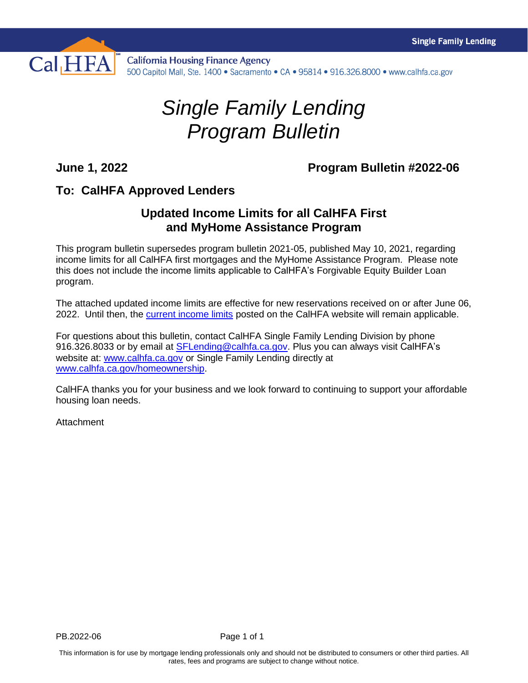

## *Single Family Lending Program Bulletin*

## **June 1, 2022 Program Bulletin #2022-06**

## **To: CalHFA Approved Lenders**

## **Updated Income Limits for all CalHFA First and MyHome Assistance Program**

This program bulletin supersedes program bulletin 2021-05, published May 10, 2021, regarding income limits for all CalHFA first mortgages and the MyHome Assistance Program. Please note this does not include the income limits applicable to CalHFA's Forgivable Equity Builder Loan program.

The attached updated income limits are effective for new reservations received on or after June 06, 2022. Until then, the [current income limits](https://www.calhfa.ca.gov/homeownership/limits/index.htm) posted on the CalHFA website will remain applicable.

For questions about this bulletin, contact CalHFA Single Family Lending Division by phone 916.326.8033 or by email at [SFLending@calhfa.ca.gov.](mailto:SFLending@calhfa.ca.gov) Plus you can always visit CalHFA's website at: [www.calhfa.ca.gov](http://www.calhfa.ca.gov/) or Single Family Lending directly at [www.calhfa.ca.gov/homeownership.](http://www.calhfa.ca.gov/homeownership)

CalHFA thanks you for your business and we look forward to continuing to support your affordable housing loan needs.

**Attachment**